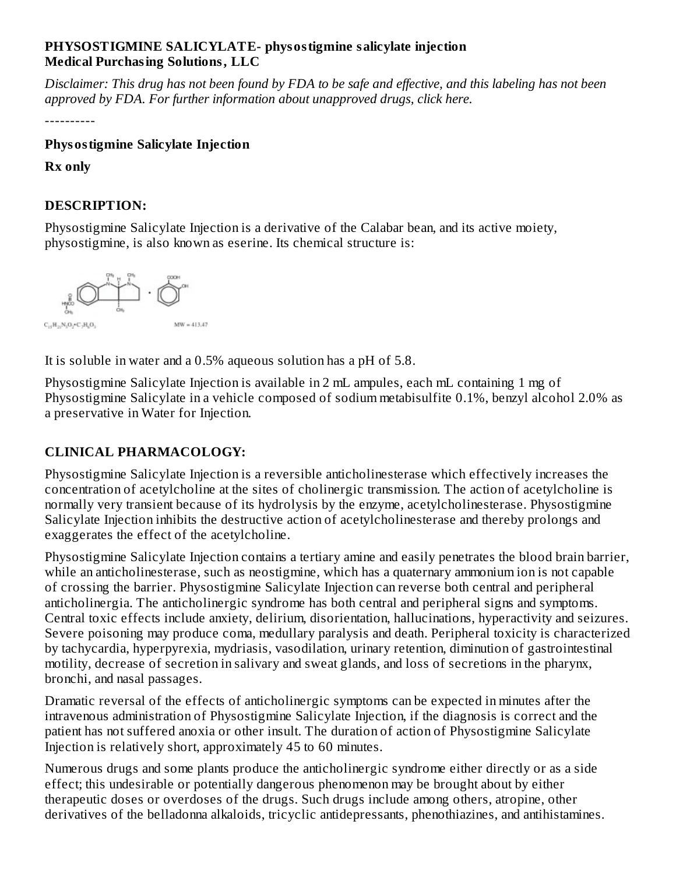#### **PHYSOSTIGMINE SALICYLATE- physostigmine salicylate injection Medical Purchasing Solutions, LLC**

Disclaimer: This drug has not been found by FDA to be safe and effective, and this labeling has not been *approved by FDA. For further information about unapproved drugs, click here.*

----------

## **Physostigmine Salicylate Injection**

**Rx only**

## **DESCRIPTION:**

Physostigmine Salicylate Injection is a derivative of the Calabar bean, and its active moiety, physostigmine, is also known as eserine. Its chemical structure is:



It is soluble in water and a 0.5% aqueous solution has a pH of 5.8.

Physostigmine Salicylate Injection is available in 2 mL ampules, each mL containing 1 mg of Physostigmine Salicylate in a vehicle composed of sodium metabisulfite 0.1%, benzyl alcohol 2.0% as a preservative in Water for Injection.

## **CLINICAL PHARMACOLOGY:**

Physostigmine Salicylate Injection is a reversible anticholinesterase which effectively increases the concentration of acetylcholine at the sites of cholinergic transmission. The action of acetylcholine is normally very transient because of its hydrolysis by the enzyme, acetylcholinesterase. Physostigmine Salicylate Injection inhibits the destructive action of acetylcholinesterase and thereby prolongs and exaggerates the effect of the acetylcholine.

Physostigmine Salicylate Injection contains a tertiary amine and easily penetrates the blood brain barrier, while an anticholinesterase, such as neostigmine, which has a quaternary ammonium ion is not capable of crossing the barrier. Physostigmine Salicylate Injection can reverse both central and peripheral anticholinergia. The anticholinergic syndrome has both central and peripheral signs and symptoms. Central toxic effects include anxiety, delirium, disorientation, hallucinations, hyperactivity and seizures. Severe poisoning may produce coma, medullary paralysis and death. Peripheral toxicity is characterized by tachycardia, hyperpyrexia, mydriasis, vasodilation, urinary retention, diminution of gastrointestinal motility, decrease of secretion in salivary and sweat glands, and loss of secretions in the pharynx, bronchi, and nasal passages.

Dramatic reversal of the effects of anticholinergic symptoms can be expected in minutes after the intravenous administration of Physostigmine Salicylate Injection, if the diagnosis is correct and the patient has not suffered anoxia or other insult. The duration of action of Physostigmine Salicylate Injection is relatively short, approximately 45 to 60 minutes.

Numerous drugs and some plants produce the anticholinergic syndrome either directly or as a side effect; this undesirable or potentially dangerous phenomenon may be brought about by either therapeutic doses or overdoses of the drugs. Such drugs include among others, atropine, other derivatives of the belladonna alkaloids, tricyclic antidepressants, phenothiazines, and antihistamines.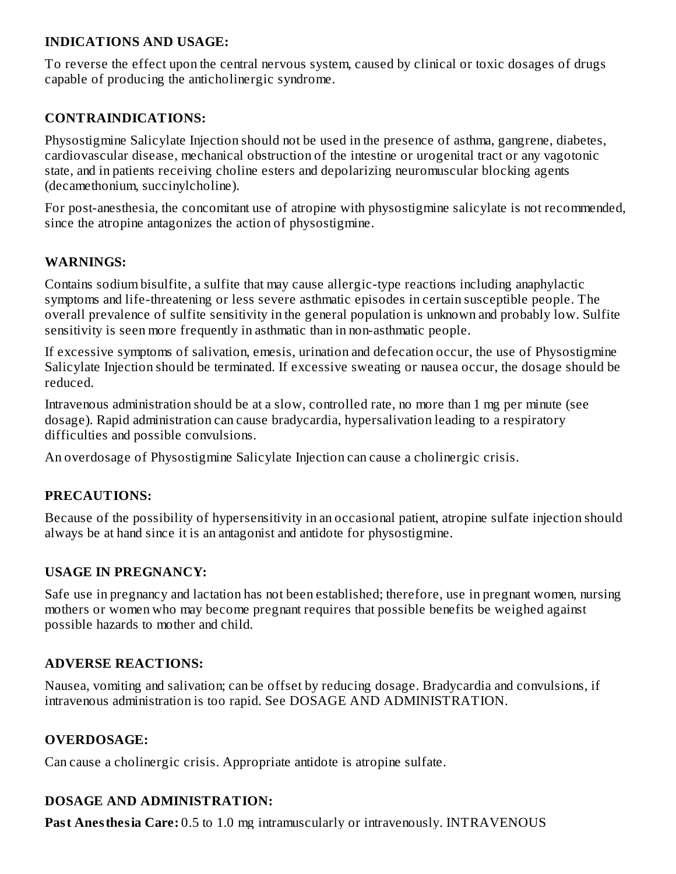#### **INDICATIONS AND USAGE:**

To reverse the effect upon the central nervous system, caused by clinical or toxic dosages of drugs capable of producing the anticholinergic syndrome.

### **CONTRAINDICATIONS:**

Physostigmine Salicylate Injection should not be used in the presence of asthma, gangrene, diabetes, cardiovascular disease, mechanical obstruction of the intestine or urogenital tract or any vagotonic state, and in patients receiving choline esters and depolarizing neuromuscular blocking agents (decamethonium, succinylcholine).

For post-anesthesia, the concomitant use of atropine with physostigmine salicylate is not recommended, since the atropine antagonizes the action of physostigmine.

#### **WARNINGS:**

Contains sodium bisulfite, a sulfite that may cause allergic-type reactions including anaphylactic symptoms and life-threatening or less severe asthmatic episodes in certain susceptible people. The overall prevalence of sulfite sensitivity in the general population is unknown and probably low. Sulfite sensitivity is seen more frequently in asthmatic than in non-asthmatic people.

If excessive symptoms of salivation, emesis, urination and defecation occur, the use of Physostigmine Salicylate Injection should be terminated. If excessive sweating or nausea occur, the dosage should be reduced.

Intravenous administration should be at a slow, controlled rate, no more than 1 mg per minute (see dosage). Rapid administration can cause bradycardia, hypersalivation leading to a respiratory difficulties and possible convulsions.

An overdosage of Physostigmine Salicylate Injection can cause a cholinergic crisis.

#### **PRECAUTIONS:**

Because of the possibility of hypersensitivity in an occasional patient, atropine sulfate injection should always be at hand since it is an antagonist and antidote for physostigmine.

#### **USAGE IN PREGNANCY:**

Safe use in pregnancy and lactation has not been established; therefore, use in pregnant women, nursing mothers or women who may become pregnant requires that possible benefits be weighed against possible hazards to mother and child.

#### **ADVERSE REACTIONS:**

Nausea, vomiting and salivation; can be offset by reducing dosage. Bradycardia and convulsions, if intravenous administration is too rapid. See DOSAGE AND ADMINISTRATION.

### **OVERDOSAGE:**

Can cause a cholinergic crisis. Appropriate antidote is atropine sulfate.

### **DOSAGE AND ADMINISTRATION:**

**Past Anesthesia Care:** 0.5 to 1.0 mg intramuscularly or intravenously. INTRAVENOUS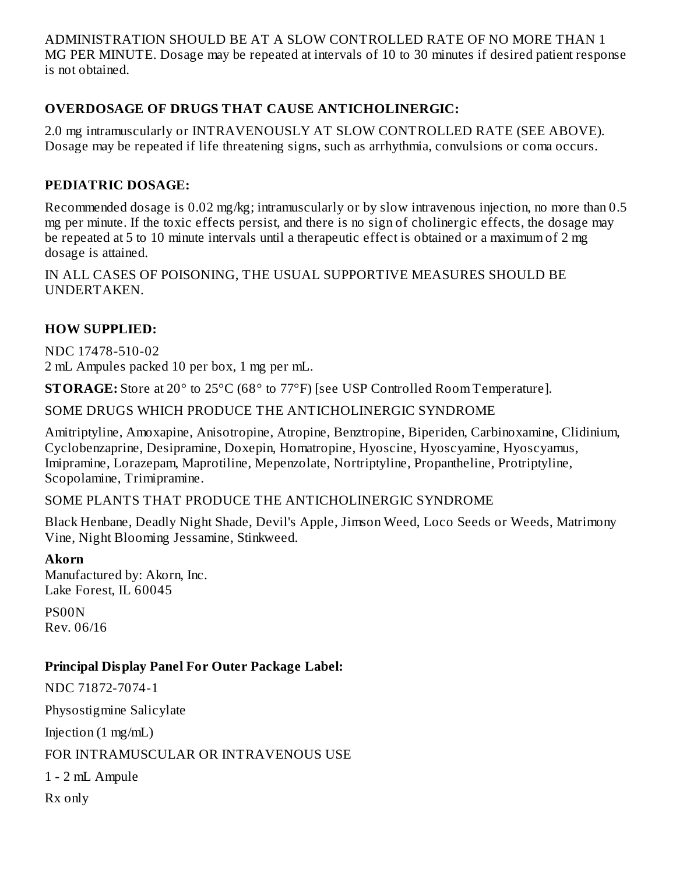ADMINISTRATION SHOULD BE AT A SLOW CONTROLLED RATE OF NO MORE THAN 1 MG PER MINUTE. Dosage may be repeated at intervals of 10 to 30 minutes if desired patient response is not obtained.

## **OVERDOSAGE OF DRUGS THAT CAUSE ANTICHOLINERGIC:**

2.0 mg intramuscularly or INTRAVENOUSLY AT SLOW CONTROLLED RATE (SEE ABOVE). Dosage may be repeated if life threatening signs, such as arrhythmia, convulsions or coma occurs.

## **PEDIATRIC DOSAGE:**

Recommended dosage is 0.02 mg/kg; intramuscularly or by slow intravenous injection, no more than 0.5 mg per minute. If the toxic effects persist, and there is no sign of cholinergic effects, the dosage may be repeated at 5 to 10 minute intervals until a therapeutic effect is obtained or a maximum of 2 mg dosage is attained.

IN ALL CASES OF POISONING, THE USUAL SUPPORTIVE MEASURES SHOULD BE UNDERTAKEN.

## **HOW SUPPLIED:**

NDC 17478-510-02 2 mL Ampules packed 10 per box, 1 mg per mL.

**STORAGE:** Store at 20° to 25°C (68° to 77°F) [see USP Controlled Room Temperature].

SOME DRUGS WHICH PRODUCE THE ANTICHOLINERGIC SYNDROME

Amitriptyline, Amoxapine, Anisotropine, Atropine, Benztropine, Biperiden, Carbinoxamine, Clidinium, Cyclobenzaprine, Desipramine, Doxepin, Homatropine, Hyoscine, Hyoscyamine, Hyoscyamus, Imipramine, Lorazepam, Maprotiline, Mepenzolate, Nortriptyline, Propantheline, Protriptyline, Scopolamine, Trimipramine.

SOME PLANTS THAT PRODUCE THE ANTICHOLINERGIC SYNDROME

Black Henbane, Deadly Night Shade, Devil's Apple, Jimson Weed, Loco Seeds or Weeds, Matrimony Vine, Night Blooming Jessamine, Stinkweed.

#### **Akorn**

Manufactured by: Akorn, Inc. Lake Forest, IL 60045

PS00N Rev. 06/16

### **Principal Display Panel For Outer Package Label:**

NDC 71872-7074-1 Physostigmine Salicylate Injection  $(1 \text{ mg/mL})$ FOR INTRAMUSCULAR OR INTRAVENOUS USE 1 - 2 mL Ampule Rx only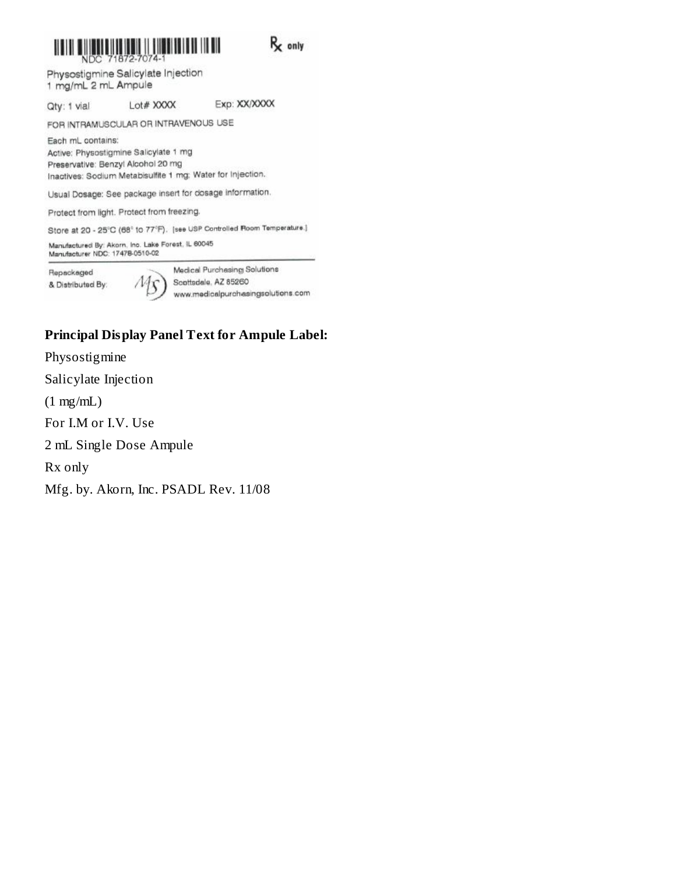

FOR INTRAMUSCULAR OR INTRAVENOUS USE

Each mL contains: Active: Physostigmine Salicylate 1 mg Preservative: Benzyl Alcohol 20 mg Inactives: Sodium Metabisulfite 1 mg; Water for Injection.

Usual Dosage: See package insert for dosage information.

Protect from light. Protect from freezing.

Store at 20 - 25°C (68° to 77°F). [see USP Controlled Room Temperature.]

Manufactured By: Akorn, Inc. Lake Forest, IL 60045<br>Manufacturer NDC: 17478-0510-02

Repackaged & Distributed By: Medical Purchasing Solutions Scottsdale, AZ 85260 www.medicalpurchasingsolutions.com

#### **Principal Display Panel Text for Ampule Label:**

Physostigmine Salicylate Injection  $(1 mg/mL)$ For I.M or I.V. Use 2 mL Single Dose Ampule Rx only Mfg. by. Akorn, Inc. PSADL Rev. 11/08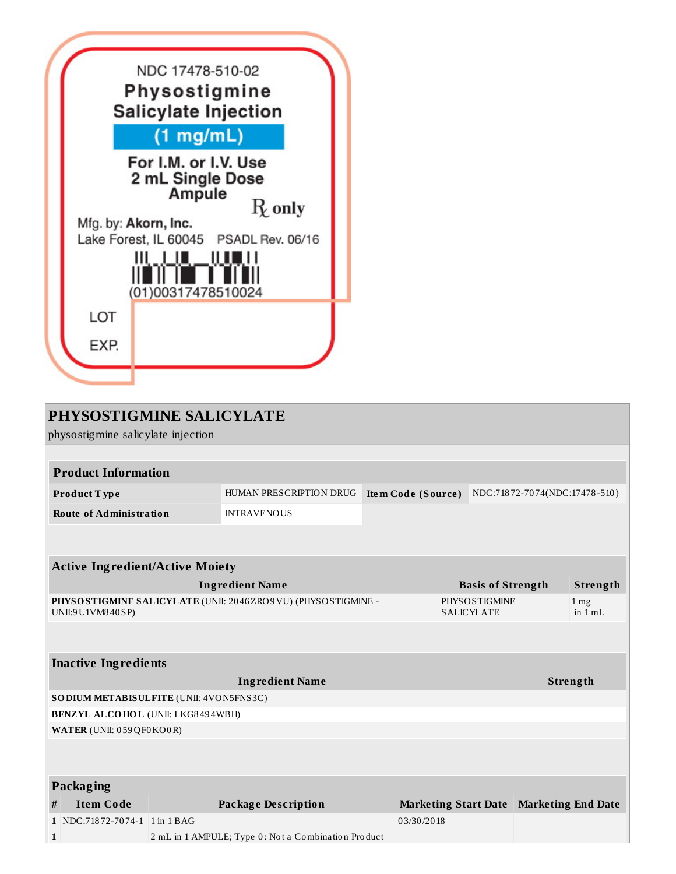

| PHYSOSTIGMINE SALICYLATE<br>physostigmine salicylate injection                        |                                           |                                                     |                                                            |                             |  |                           |  |  |  |
|---------------------------------------------------------------------------------------|-------------------------------------------|-----------------------------------------------------|------------------------------------------------------------|-----------------------------|--|---------------------------|--|--|--|
|                                                                                       |                                           |                                                     |                                                            |                             |  |                           |  |  |  |
| <b>Product Information</b>                                                            |                                           |                                                     |                                                            |                             |  |                           |  |  |  |
| Product Type                                                                          |                                           | HUMAN PRESCRIPTION DRUG                             | <b>Item Code (Source)</b><br>NDC:71872-7074(NDC:17478-510) |                             |  |                           |  |  |  |
| <b>Route of Administration</b>                                                        |                                           | <b>INTRAVENOUS</b>                                  |                                                            |                             |  |                           |  |  |  |
|                                                                                       |                                           |                                                     |                                                            |                             |  |                           |  |  |  |
|                                                                                       |                                           |                                                     |                                                            |                             |  |                           |  |  |  |
| <b>Active Ingredient/Active Moiety</b>                                                |                                           |                                                     |                                                            |                             |  |                           |  |  |  |
|                                                                                       |                                           | <b>Basis of Strength</b>                            |                                                            | Strength                    |  |                           |  |  |  |
| PHYSOSTIGMINE SALICYLATE (UNII: 2046 ZRO9 VU) (PHYSOSTIGMINE -<br>UNII:9 U1VM8 40 SP) | <b>PHYSOSTIGMINE</b><br><b>SALICYLATE</b> |                                                     | $1 \,\mathrm{mg}$<br>in $1 mL$                             |                             |  |                           |  |  |  |
|                                                                                       |                                           |                                                     |                                                            |                             |  |                           |  |  |  |
| <b>Inactive Ingredients</b>                                                           |                                           |                                                     |                                                            |                             |  |                           |  |  |  |
| <b>Ingredient Name</b>                                                                |                                           |                                                     |                                                            |                             |  | Strength                  |  |  |  |
| SODIUM METABISULFITE (UNII: 4VON5FNS3C)                                               |                                           |                                                     |                                                            |                             |  |                           |  |  |  |
| <b>BENZYL ALCOHOL (UNII: LKG8494WBH)</b>                                              |                                           |                                                     |                                                            |                             |  |                           |  |  |  |
| WATER (UNII: 059 QF0 KO0 R)                                                           |                                           |                                                     |                                                            |                             |  |                           |  |  |  |
|                                                                                       |                                           |                                                     |                                                            |                             |  |                           |  |  |  |
| <b>Packaging</b>                                                                      |                                           |                                                     |                                                            |                             |  |                           |  |  |  |
| <b>Item Code</b><br>#                                                                 |                                           | <b>Package Description</b>                          |                                                            | <b>Marketing Start Date</b> |  | <b>Marketing End Date</b> |  |  |  |
| 1 NDC:71872-7074-1 1 in 1 BAG                                                         |                                           |                                                     | 03/30/2018                                                 |                             |  |                           |  |  |  |
| $\mathbf{1}$                                                                          |                                           | 2 mL in 1 AMPULE; Type 0: Not a Combination Product |                                                            |                             |  |                           |  |  |  |